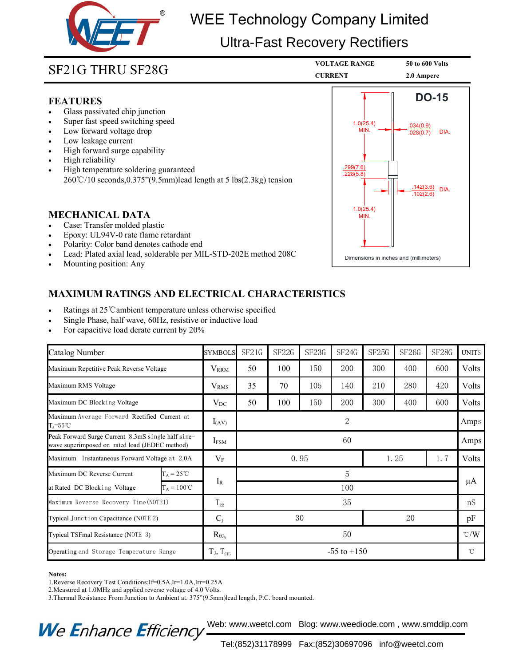

# Company Limited<br>
Experience of the CURRENT<br> **2.0 Ampere**<br> **2.0 Ampere**<br> **2.0 Ampere** WEE Technology Company Limited

## Ultra-Fast Recovery Rectifiers

 $1.0(25.4)$   $1.0(25.4)$   $0.34(0.9)$ MIN.  $\longrightarrow$   $\frac{1}{028(0.7)}$  DIA.

**DO-15**

### **FEATURES**

- 
- 
- 
- 
- 
- 
- SF21G THRU SF28G<br>
FEATURES<br>
 Glass passivated chip junction<br>
 Super fast speed switching speed<br>
 Low forward voltage drop<br>
 Low leakage current<br>
 High forward surge capability<br>
 High reliability<br>
 High temperature s **SF21G THRU SF28G**<br> **ELATURES**<br>
Glass passivated chip junction<br>
Super fast speed switching speed<br>
Low forward voltage drop<br>
Low leakage current<br>
High forward surge capability<br>
High reliability<br>
High reliability<br>
High tempe **SF21G THRU SF28G**<br> **FEATURES**<br>
• Glass passivated chip junction<br>
• Super fast speed switching speed<br>
• Low forward voltage drop<br>
• Low leakage current<br>
• High forward surge capability<br>
• High reliability<br>
• High reliabili **FEATURES**<br>
• Glass passivated chip junction<br>
• Super fast speed switching speed<br>
• Low forward voltage drop<br>
• High forward surge capability<br>
• High feliability<br>
• High telmperature soldering guaranteed<br>  $260^{\circ}C/10$  se • Glass passivated chip junction<br>
• Super fast speed switching speed<br>
• Low leakage current<br>
• High forward surge capability<br>
• High reliability<br>
• High temperature soldering guaranteed<br>
260℃/10 seconds,0.375"(9.5mm)lead • Low leakage current<br>
• High forward surge capability<br>
• High reliability<br>
• High temperature soldering guaranteed<br>
260℃/10 seconds,0.375"(9.5mm)lead length at 5 lbs(2.3kg<br>
MECHANICAL DATA<br>
• Case: Transfer molded plasti

- 
- 
- 
- 
- 

- 
- 
- 

| Ratings at 25 °C ambient temperature unless otherwise specified<br>Single Phase, half wave, 60Hz, resistive or inductive load<br>For capacitive load derate current by 20% |                                             |                   |                       | <b>MAXIMUM RATINGS AND ELECTRICAL CHARACTERISTICS</b> |       |       |             |       |         |               |
|----------------------------------------------------------------------------------------------------------------------------------------------------------------------------|---------------------------------------------|-------------------|-----------------------|-------------------------------------------------------|-------|-------|-------------|-------|---------|---------------|
| Catalog Number                                                                                                                                                             |                                             | <b>SYMBOLS</b>    | SF21G                 | SF22G                                                 | SF23G | SF24G | SF25G       | SF26G | SF28G   | <b>UNITS</b>  |
| Maximum Repetitive Peak Reverse Voltage                                                                                                                                    |                                             | $V_{RRM}$         | 50                    | 100                                                   | 150   | 200   | 300         | 400   | 600     | Volts         |
| Maximum RMS Voltage                                                                                                                                                        |                                             | V <sub>RMS</sub>  | 35                    | 70                                                    | 105   | 140   | 210         | 280   | 420     | Volts         |
| Maximum DC Blocking Voltage                                                                                                                                                |                                             | $V_{DC}$          | 50                    | 100                                                   | 150   | 200   | 300         | 400   | 600     | Volts         |
| Maximum Average Forward Rectified Current at<br>$T_A = 55^{\circ}$ C                                                                                                       |                                             | $I_{(AV)}$        | $\overline{2}$        |                                                       |       |       |             |       | Amps    |               |
| Peak Forward Surge Current 8.3mS single half sine-<br>wave superimposed on rated load (JEDEC method)                                                                       |                                             | $I_{FSM}$         | 60                    |                                                       |       |       |             |       |         | Amps          |
| Maximum Instantaneous Forward Voltage at 2.0A                                                                                                                              |                                             | $V_{\rm F}$       | 0.95                  |                                                       |       |       | 1.25<br>1.7 |       |         | Volts         |
| Maximum DC Reverse Current<br>at Rated DC Blocking Voltage                                                                                                                 | $T_A = 25^{\circ}C$<br>$T_A = 100^{\circ}C$ | $I_{R}$           | $\overline{5}$<br>100 |                                                       |       |       |             |       | $\mu A$ |               |
| Maximum Reverse Recovery Time (NOTE1)                                                                                                                                      |                                             | $T_{RR}$          | 35                    |                                                       |       |       |             |       |         | nS            |
| Typical Junction Capacitance (NOTE 2)                                                                                                                                      |                                             | $C_{J}$           |                       |                                                       | 30    |       | 20          |       |         | pF            |
| Typical TSFmal Resistance (NOTE 3)                                                                                                                                         |                                             | $R_{\theta J_A}$  | 50                    |                                                       |       |       |             |       |         | $\degree$ C/W |
| Operating and Storage Temperature Range                                                                                                                                    |                                             | $T_J$ , $T_{STG}$ | $-55$ to $+150$       |                                                       |       |       |             |       |         | $^{\circ}$ C  |